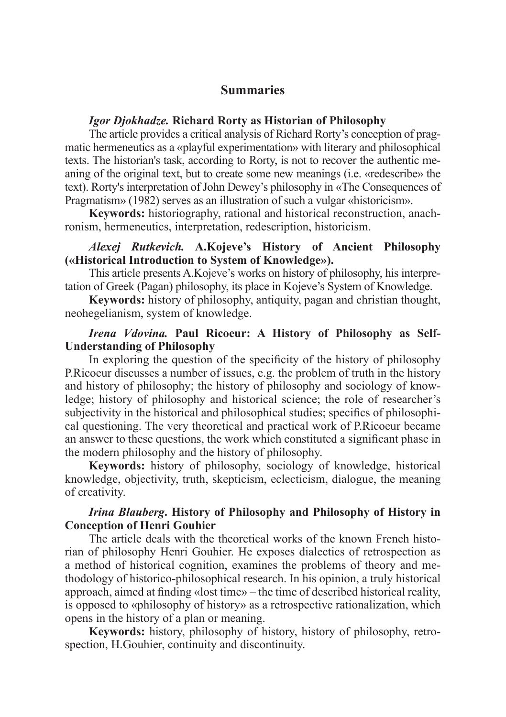# **Summaries**

#### *Igor Djokhadze.* **Richard Rorty as Historian of Philosophy**

The article provides a critical analysis of Richard Rorty's conception of prag matic hermeneutics as a «playful experimentation» with literary and philosophical texts. The historian's task, according to Rorty, is not to recover the authentic meaning of the original text, but to create some new meanings (i.e. «redescribe» the text). Rorty's interpretation of John Dewey's philosophy in «The Consequences of Pragmatism» (1982) serves as an illustration of such a vulgar «historicism».

**Keywords:** historiography, rational and historical reconstruction, anachronism, hermeneutics, interpretation, redescription, historicism.

## *Alexej Rutkevich.* **A.Kojeve's History of Ancient Philosophy («Historical Introduction to System of Knowledge»).**

This article presents A.Kojeve's works on history of philosophy, his interpretation of Greek (Pagan) philosophy, its place in Kojeve's System of Knowledge.

**Keywords:** history of philosophy, antiquity, pagan and christian thought, neohegelianism, system of knowledge.

# *Irena Vdovina.* **Paul Ricoeur: A History of Philosophy as Self-Understanding of Philosophy**

In exploring the question of the specificity of the history of philosophy P.Ricoeur discusses a number of issues, e.g. the problem of truth in the history and history of philosophy; the history of philosophy and sociology of knowledge; history of philosophy and historical science; the role of researcher's subjectivity in the historical and philosophical studies; specifics of philosophical questioning. The very theoretical and practical work of P.Ricoeur became an answer to these questions, the work which constituted a significant phase in the modern philosophy and the history of philosophy.

**Keywords:** history of philosophy, sociology of knowledge, historical knowledge, objectivity, truth, skepticism, eclecticism, dialogue, the meaning of creativity.

# *Irina Blauberg***. History of Philosophy and Philosophy of History in Conception of Henri Gouhier**

The article deals with the theoretical works of the known French historian of philosophy Henri Gouhier. He exposes dialectics of retrospection as a method of historical cognition, examines the problems of theory and methodology of historico-philosophical research. In his opinion, a truly historical approach, aimed at finding «lost time» – the time of described historical reality, is opposed to «philosophy of history» as a retrospective rationalization, which opens in the history of a plan or meaning.

**Keywords:** history, philosophy of history, history of philosophy, retrospection, H.Gouhier, continuity and discontinuity.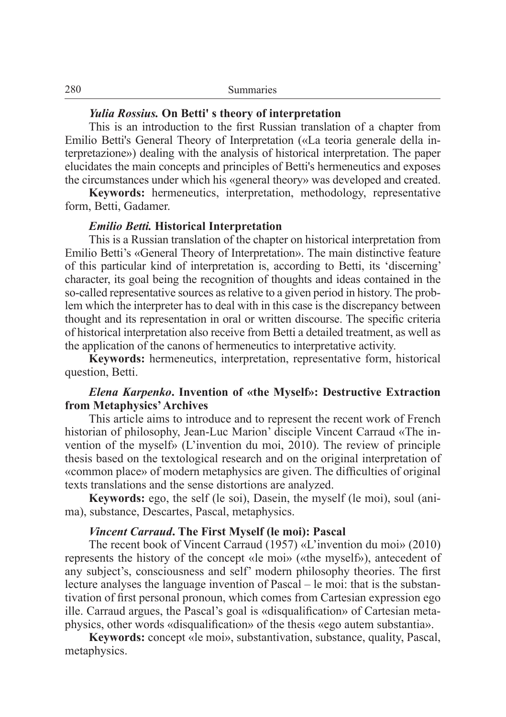#### *Yulia Rossius.* **On Betti' s theory of interpretation**

This is an introduction to the first Russian translation of a chapter from Emilio Betti's General Theory of Interpretation («La teoria generale della interpretazione») dealing with the analysis of historical interpretation. The paper elucidates the main concepts and principles of Betti's hermeneutics and exposes the circumstances under which his «general theory» was developed and created.

**Keywords:** hermeneutics, interpretation, methodology, representative form, Betti, Gadamer.

#### *Emilio Betti.* **Historical Interpretation**

This is a Russian translation of the chapter on historical interpretation from Emilio Betti's «General Theory of Interpretation». The main distinctive feature of this particular kind of interpretation is, according to Betti, its 'discerning' character, its goal being the recognition of thoughts and ideas contained in the so-called representative sources as relative to a given period in history. The problem which the interpreter has to deal with in this case is the discrepancy between thought and its representation in oral or written discourse. The specific criteria of historical interpretation also receive from Betti a detailed treatment, as well as the application of the canons of hermeneutics to interpretative activity.

**Keywords:** hermeneutics, interpretation, representative form, historical question, Betti.

#### *Elena Karpenko***. Invention of «the Myself»: Destructive Extraction from Metaphysics' Archives**

This article aims to introduce and to represent the recent work of French historian of philosophy, Jean-Luc Marion' disciple Vincent Carraud «The invention of the myself» (L'invention du moi, 2010). The review of principle thesis based on the textological research and on the original interpretation of «common place» of modern metaphysics are given. The difficulties of original texts translations and the sense distortions are analyzed.

**Keywords:** ego, the self (le soi), Dasein, the myself (le moi), soul (ani ma), substance, Descartes, Pascal, metaphysics.

#### *Vincent Carraud***. The First Myself (le moi): Pascal**

The recent book of Vincent Carraud (1957) «L'invention du moi» (2010) represents the history of the concept «le moi» («the myself»), antecedent of any subject's, consciousness and self' modern philosophy theories. The first lecture analyses the language invention of Pascal – le moi: that is the substantivation of first personal pronoun, which comes from Cartesian expression ego ille. Carraud argues, the Pascal's goal is «disqualification» of Cartesian metaphysics, other words «disqualification» of the thesis «ego autem substantia».

**Keywords:** concept «le moi», substantivation, substance, quality, Pascal, metaphysics.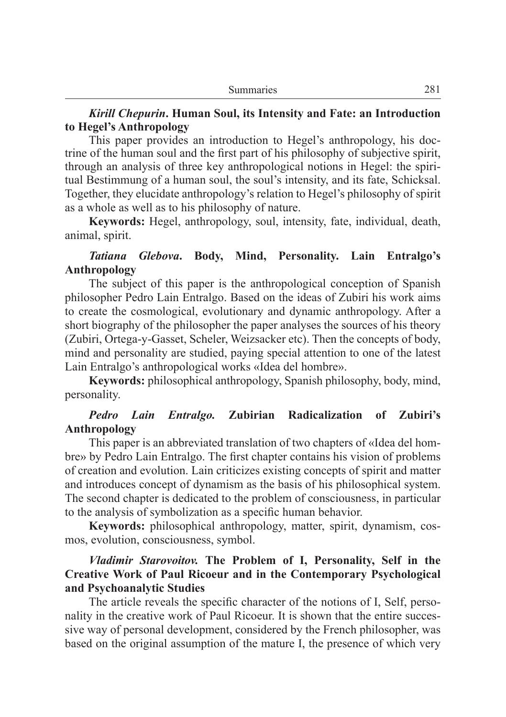## *Kirill Chepurin***. Human Soul, its Intensity and Fate: an Introduction to Hegel's Anthropology**

This paper provides an introduction to Hegel's anthropology, his doctrine of the human soul and the first part of his philosophy of subjective spirit, through an analysis of three key anthropological notions in Hegel: the spiritual Bestimmung of a human soul, the soul's intensity, and its fate, Schicksal. Together, they elucidate anthropology's relation to Hegel's philosophy of spirit as a whole as well as to his philosophy of nature.

**Keywords:** Hegel, anthropology, soul, intensity, fate, individual, death, animal, spirit.

# *Tatiana Glebova***. Body, Mind, Personality. Lain Entralgo's Anthropology**

The subject of this paper is the anthropological conception of Spanish philosopher Pedro Lain Entralgo. Based on the ideas of Zubiri his work aims to create the cosmological, evolutionary and dynamic anthropology. After a short biography of the philosopher the paper analyses the sources of his theory (Zubiri, Ortega-y-Gasset, Scheler, Weizsacker etc). Then the concepts of body, mind and personality are studied, paying special attention to one of the latest Lain Entralgo's anthropological works «Idea del hombre».

**Keywords:** philosophical anthropology, Spanish philosophy, body, mind, personality.

## *Pedro Lain Entralgo.* **Zubirian Radicalization of Zubiri's Anthropology**

This paper is an abbreviated translation of two chapters of «Idea del hombre» by Pedro Lain Entralgo. The first chapter contains his vision of problems of creation and evolution. Lain criticizes existing concepts of spirit and matter and introduces concept of dynamism as the basis of his philosophical system. The second chapter is dedicated to the problem of consciousness, in particular to the analysis of symbolization as a specific human behavior.

**Keywords:** philosophical anthropology, matter, spirit, dynamism, cos mos, evolution, consciousness, symbol.

## *Vladimir Starovoitov.* **The Problem of I, Personality, Self in the Creative Work of Paul Ricoeur and in the Contemporary Psychological and Psychoanalytic Studies**

The article reveals the specific character of the notions of I, Self, personality in the creative work of Paul Ricoeur. It is shown that the entire successive way of personal development, considered by the French philosopher, was based on the original assumption of the mature I, the presence of which very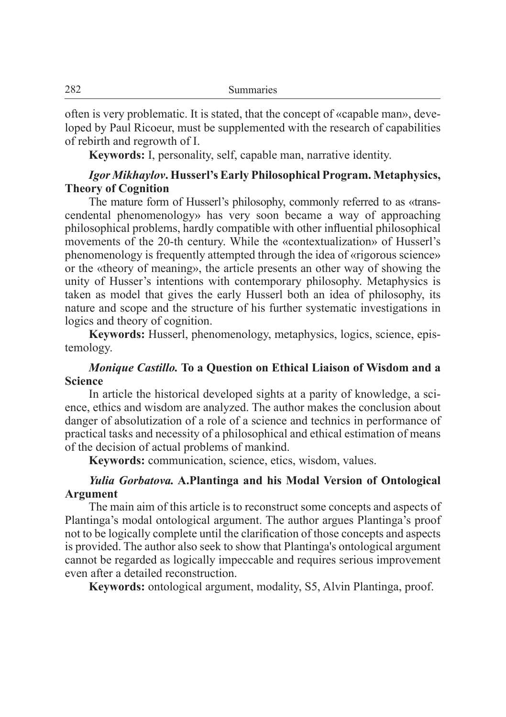often is very problematic. It is stated, that the concept of «capable man», developed by Paul Ricoeur, must be supplemented with the research of capabilities of rebirth and regrowth of I.

**Keywords:** I, personality, self, capable man, narrative identity.

# *Igor Mikhaylov***. Husserl's Early Philosophical Program. Metaphysics, Theory of Cognition**

The mature form of Husserl's philosophy, commonly referred to as «transcendental phenomenology» has very soon became a way of approaching philosophical problems, hardly compatible with other influential philosophical movements of the 20-th сentury. While the «contextualization» of Husserl's phenomenology is frequently attempted through the idea of «rigorous science» or the «theory of meaning», the article presents an other way of showing the unity of Husser's intentions with contemporary philosophy. Metaphysics is taken as model that gives the early Husserl both an idea of philosophy, its nature and scope and the structure of his further systematic investigations in logics and theory of cognition.

**Keywords:** Husserl, phenomenology, metaphysics, logics, science, epistemology.

## *Monique Castillo.* **To a Question on Ethical Liaison of Wisdom and a Science**

In article the historical developed sights at a parity of knowledge, a science, ethics and wisdom are analyzed. The author makes the conclusion about danger of absolutization of a role of a science and technics in performance of practical tasks and necessity of a philosophical and ethical estimation of means of the decision of actual problems of mankind.

**Keywords:** communication, science, etics, wisdom, values.

## *Yulia Gorbatova.* **A.Plantinga and his Modal Version of Ontological Argument**

The main aim of this article is to reconstruct some concepts and aspects of Plantinga's modal ontological argument. The author argues Plantinga's proof not to be logically complete until the clarification of those concepts and aspects is provided. The author also seek to show that Plantinga's ontological argument cannot be regarded as logically impeccable and requires serious improvement even after a detailed reconstruction.

**Keywords:** ontological argument, modality, S5, Alvin Plantinga, proof.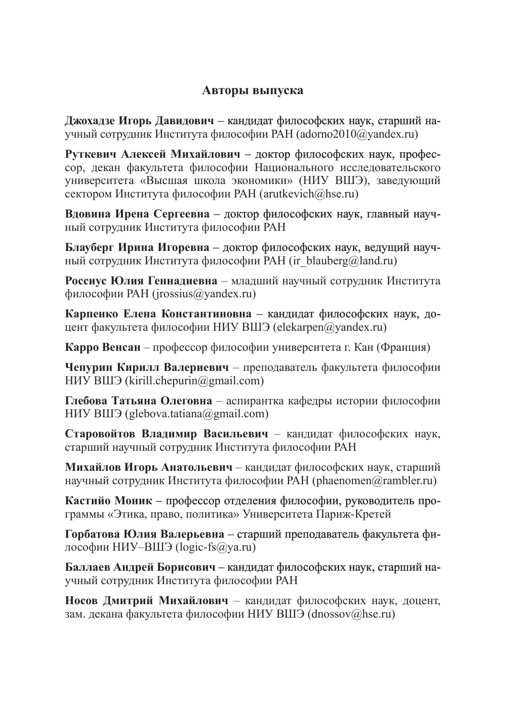# **Авторы выпуска**

**Джохадзе Игорь Давидович** – кандидат философских наук, старший научный сотрудник Института философии РАН (adorno2010@yandex.ru)

**Руткевич Алексей Михайлович** – доктор философских наук, профессор, декан факультета философии Национального исследовательского университета «Высшая школа экономики» (НИУ ВШЭ), заведующий сектором Института философии РАН (arutkevich@hse.ru)

**Вдовина Ирена Сергеевна** – доктор философских наук, главный научный сотрудник Института философии РАН

**Блауберг Ирина Игоревна** – доктор философских наук, ведущий научный сотрудник Института философии РАН (ir\_blauberg@land.ru)

**Россиус Юлия Геннадиевна** – младший научный сотрудник Института философии РАН (jrossius@yandex.ru)

**Карпенко Елена Константиновна** – кандидат философских наук, доцент факультета философии НИУ ВШЭ (elekarpen@yandex.ru)

**Карро Венсан** – профессор философии университета г. Кан (Франция)

**Чепурин Кирилл Валериевич** – преподаватель факультета философии НИУ ВШЭ (kirill.chepurin@gmail.com)

**Глебова Татьяна Олеговна** – аспирантка кафедры истории философии НИУ ВШЭ (glebova.tatiana@gmail.com)

**Старовойтов Владимир Васильевич** – кандидат философских наук, старший научный сотрудник Института философии РАН

**Михайлов Игорь Анатольевич** – кандидат философских наук, старший научный сотрудник Института философии РАН (phaenomen@rambler.ru)

**Кастийо Моник** – профессор отделения философии, руководитель программы «Этика, право, политика» Университета Париж-Кретей

**Горбатова Юлия Валерьевна** – старший преподаватель факультета философии НИУ–ВШЭ (logic-fs@ya.ru)

**Баллаев Андрей Борисович** – кандидат философских наук, старший научный сотрудник Института философии РАН

**Носов Дмитрий Михайлович** – кандидат философских наук, доцент, зам. декана факультета философии НИУ ВШЭ (dnossov@hse.ru)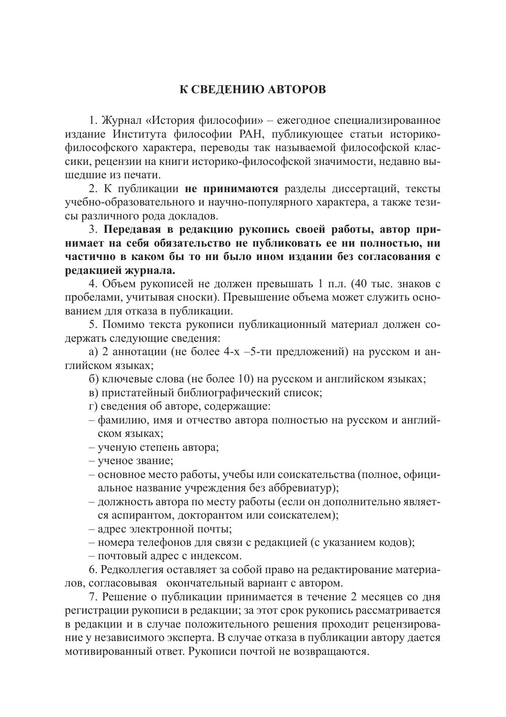## **К СВЕДЕНИЮ АВТОРОВ**

1. Журнал «История философии» – ежегодное специализированное издание Института философии РАН, публикующее статьи историкофилософского характера, переводы так называемой философской классики, рецензии на книги историко-философской значимости, недавно вышедшие из печати.

2. К публикации **не принимаются** разделы диссертаций, тексты учебно-образовательного и научно-популярного характера, а также тезисы различного рода докладов.

3. **Передавая в редакцию рукопись своей работы, автор принимает на себя обязательство не публиковать ее ни полностью, ни частично в каком бы то ни было ином издании без согласования с редакцией журнала.**

4. Объем рукописей не должен превышать 1 п.л. (40 тыс. знаков с пробелами, учитывая сноски). Превышение объема может служить основанием для отказа в публикации.

5. Помимо текста рукописи публикационный материал должен содержать следующие сведения:

а) 2 аннотации (не более 4-х –5-ти предложений) на русском и английском языках;

б) ключевые слова (не более 10) на русском и английском языках;

- в) пристатейный библиографический список;
- г) сведения об авторе, содержащие:
- фамилию, имя и отчество автора полностью на русском и английском языках;
- ученую степень автора;
- ученое звание;
- основное место работы, учебы или соискательства (полное, официальное название учреждения без аббревиатур);
- должность автора по месту работы (если он дополнительно является аспирантом, докторантом или соискателем);
- адрес электронной почты;
- номера телефонов для связи с редакцией (с указанием кодов);
- почтовый адрес с индексом.

6. Редколлегия оставляет за собой право на редактирование материалов, согласовывая окончательный вариант с автором.

7. Решение о публикации принимается в течение 2 месяцев со дня регистрации рукописи в редакции; за этот срок рукопись рассматривается в редакции и в случае положительного решения проходит рецензирование у независимого эксперта. В случае отказа в публикации автору дается мотивированный ответ. Рукописи почтой не возвращаются.